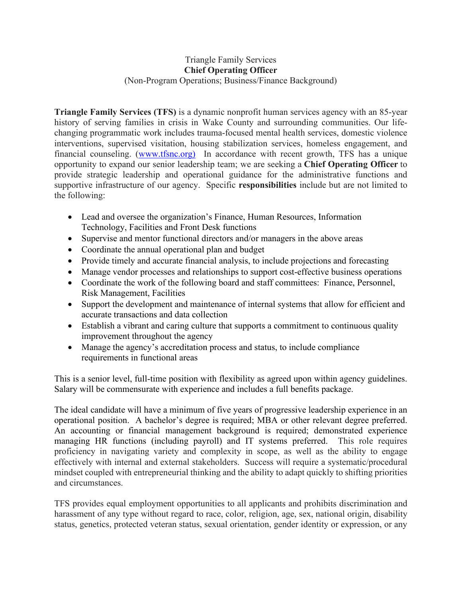## Triangle Family Services **Chief Operating Officer** (Non-Program Operations; Business/Finance Background)

**Triangle Family Services (TFS)** is a dynamic nonprofit human services agency with an 85-year history of serving families in crisis in Wake County and surrounding communities. Our lifechanging programmatic work includes trauma-focused mental health services, domestic violence interventions, supervised visitation, housing stabilization services, homeless engagement, and financial counseling. [\(www.tfsnc.org\)](http://www.tfsnc.org)/) In accordance with recent growth, TFS has a unique opportunity to expand our senior leadership team; we are seeking a **Chief Operating Officer** to provide strategic leadership and operational guidance for the administrative functions and supportive infrastructure of our agency. Specific **responsibilities** include but are not limited to the following:

- Lead and oversee the organization's Finance, Human Resources, Information Technology, Facilities and Front Desk functions
- Supervise and mentor functional directors and/or managers in the above areas
- Coordinate the annual operational plan and budget
- Provide timely and accurate financial analysis, to include projections and forecasting
- Manage vendor processes and relationships to support cost-effective business operations
- Coordinate the work of the following board and staff committees: Finance, Personnel, Risk Management, Facilities
- Support the development and maintenance of internal systems that allow for efficient and accurate transactions and data collection
- Establish a vibrant and caring culture that supports a commitment to continuous quality improvement throughout the agency
- Manage the agency's accreditation process and status, to include compliance requirements in functional areas

This is a senior level, full-time position with flexibility as agreed upon within agency guidelines. Salary will be commensurate with experience and includes a full benefits package.

The ideal candidate will have a minimum of five years of progressive leadership experience in an operational position. A bachelor's degree is required; MBA or other relevant degree preferred. An accounting or financial management background is required; demonstrated experience managing HR functions (including payroll) and IT systems preferred. This role requires proficiency in navigating variety and complexity in scope, as well as the ability to engage effectively with internal and external stakeholders. Success will require a systematic/procedural mindset coupled with entrepreneurial thinking and the ability to adapt quickly to shifting priorities and circumstances.

TFS provides equal employment opportunities to all applicants and prohibits discrimination and harassment of any type without regard to race, color, religion, age, sex, national origin, disability status, genetics, protected veteran status, sexual orientation, gender identity or expression, or any